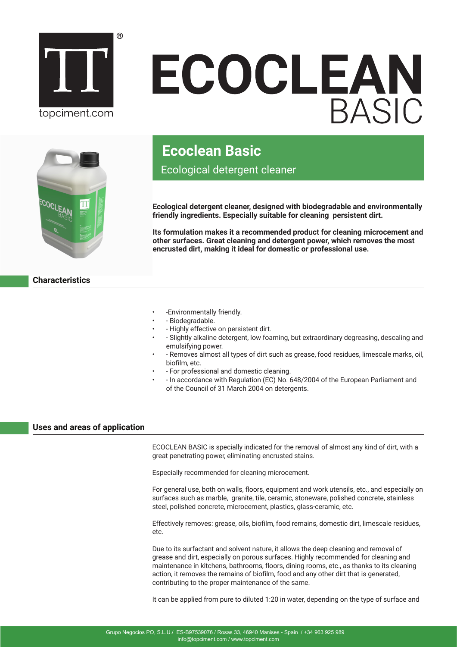

# ECOCLEAN



# **Ecoclean Basic**

Ecological detergent cleaner

**Ecological detergent cleaner, designed with biodegradable and environmentally friendly ingredients. Especially suitable for cleaning persistent dirt.**

**Its formulation makes it a recommended product for cleaning microcement and other surfaces. Great cleaning and detergent power, which removes the most encrusted dirt, making it ideal for domestic or professional use.**

**Characteristics**

- -Environmentally friendly.
- - Biodegradable.
- - Highly effective on persistent dirt.
- - Slightly alkaline detergent, low foaming, but extraordinary degreasing, descaling and emulsifying power.
- - Removes almost all types of dirt such as grease, food residues, limescale marks, oil, biofilm, etc.
- - For professional and domestic cleaning.
- - In accordance with Regulation (EC) No. 648/2004 of the European Parliament and of the Council of 31 March 2004 on detergents.

# **Uses and areas of application**

ECOCLEAN BASIC is specially indicated for the removal of almost any kind of dirt, with a great penetrating power, eliminating encrusted stains.

Especially recommended for cleaning microcement.

For general use, both on walls, floors, equipment and work utensils, etc., and especially on surfaces such as marble, granite, tile, ceramic, stoneware, polished concrete, stainless steel, polished concrete, microcement, plastics, glass-ceramic, etc.

Effectively removes: grease, oils, biofilm, food remains, domestic dirt, limescale residues, etc.

Due to its surfactant and solvent nature, it allows the deep cleaning and removal of grease and dirt, especially on porous surfaces. Highly recommended for cleaning and maintenance in kitchens, bathrooms, floors, dining rooms, etc., as thanks to its cleaning action, it removes the remains of biofilm, food and any other dirt that is generated, contributing to the proper maintenance of the same.

It can be applied from pure to diluted 1:20 in water, depending on the type of surface and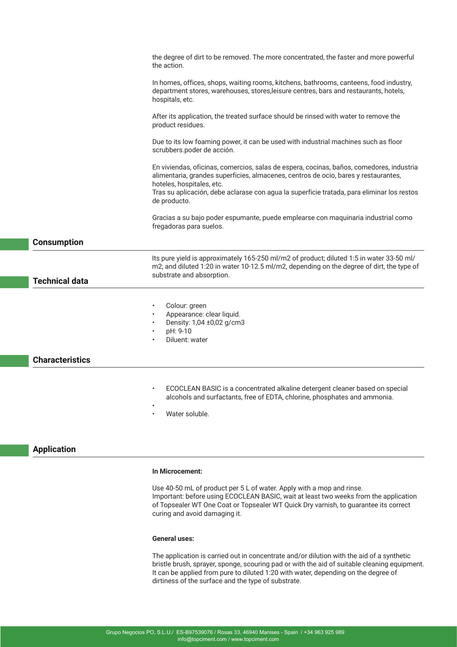|                        | the degree of dirt to be removed. The more concentrated, the faster and more powerful<br>the action.                                                                                                                                                                                                                       |
|------------------------|----------------------------------------------------------------------------------------------------------------------------------------------------------------------------------------------------------------------------------------------------------------------------------------------------------------------------|
|                        | In homes, offices, shops, waiting rooms, kitchens, bathrooms, canteens, food industry,<br>department stores, warehouses, stores, leisure centres, bars and restaurants, hotels,<br>hospitals, etc.                                                                                                                         |
|                        | After its application, the treated surface should be rinsed with water to remove the<br>product residues.                                                                                                                                                                                                                  |
|                        | Due to its low foaming power, it can be used with industrial machines such as floor<br>scrubbers.poder de acción.                                                                                                                                                                                                          |
|                        | En viviendas, oficinas, comercios, salas de espera, cocinas, baños, comedores, industria<br>alimentaria, grandes superficies, almacenes, centros de ocio, bares y restaurantes,<br>hoteles, hospitales, etc.<br>Tras su aplicación, debe aclarase con agua la superficie tratada, para eliminar los restos<br>de producto. |
|                        | Gracias a su bajo poder espumante, puede emplearse con maquinaria industrial como<br>fregadoras para suelos.                                                                                                                                                                                                               |
| <b>Consumption</b>     |                                                                                                                                                                                                                                                                                                                            |
| <b>Technical data</b>  | Its pure yield is approximately 165-250 ml/m2 of product; diluted 1:5 in water 33-50 ml/<br>m2; and diluted 1:20 in water 10-12.5 ml/m2, depending on the degree of dirt, the type of<br>substrate and absorption.                                                                                                         |
|                        |                                                                                                                                                                                                                                                                                                                            |
|                        | Colour: green<br>$\bullet$<br>Appearance: clear liquid.<br>Density: 1,04 ±0,02 g/cm3<br>pH: 9-10<br>Diluent: water                                                                                                                                                                                                         |
| <b>Characteristics</b> |                                                                                                                                                                                                                                                                                                                            |
|                        | ECOCLEAN BASIC is a concentrated alkaline detergent cleaner based on special<br>alcohols and surfactants, free of EDTA, chlorine, phosphates and ammonia.<br>$\bullet$<br>Water soluble.<br>$\bullet$                                                                                                                      |

# **Application**

### **In Microcement:**

Use 40-50 mL of product per 5 L of water. Apply with a mop and rinse. Important: before using ECOCLEAN BASIC, wait at least two weeks from the application of Topsealer WT One Coat or Topsealer WT Quick Dry varnish, to guarantee its correct curing and avoid damaging it.

### **General uses:**

The application is carried out in concentrate and/or dilution with the aid of a synthetic bristle brush, sprayer, sponge, scouring pad or with the aid of suitable cleaning equipment. It can be applied from pure to diluted 1:20 with water, depending on the degree of dirtiness of the surface and the type of substrate.